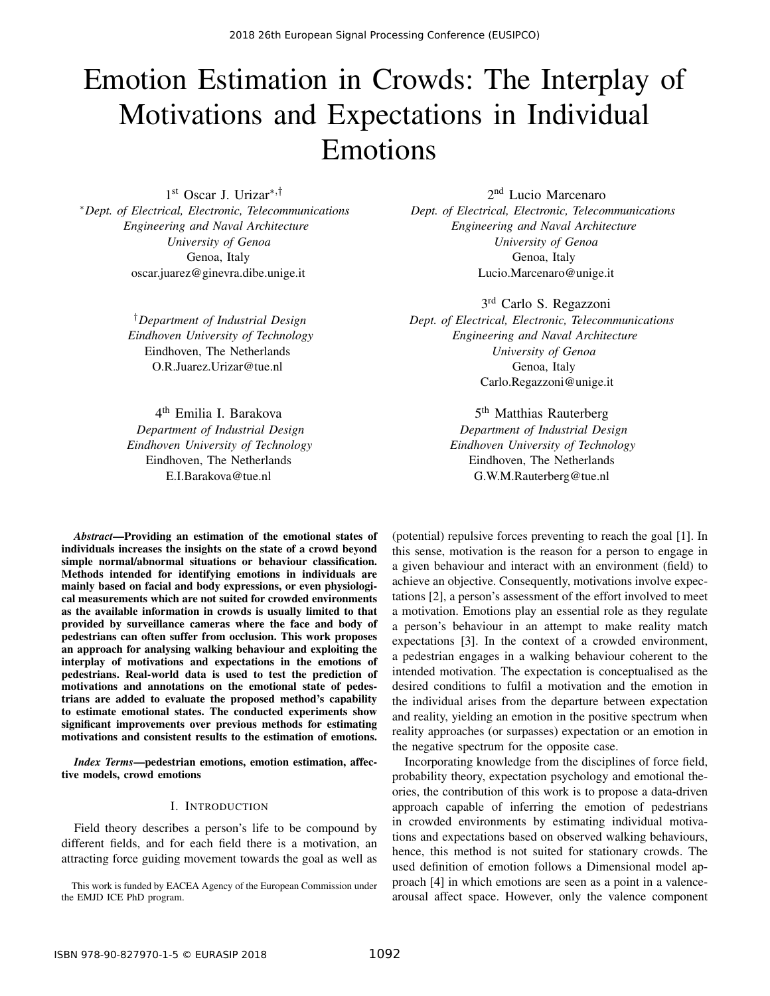# Emotion Estimation in Crowds: The Interplay of Motivations and Expectations in Individual Emotions

1 st Oscar J. Urizar∗,† <sup>∗</sup>*Dept. of Electrical, Electronic, Telecommunications Engineering and Naval Architecture University of Genoa* Genoa, Italy oscar.juarez@ginevra.dibe.unige.it

> †*Department of Industrial Design Eindhoven University of Technology* Eindhoven, The Netherlands O.R.Juarez.Urizar@tue.nl

> 4<sup>th</sup> Emilia I. Barakova *Department of Industrial Design Eindhoven University of Technology* Eindhoven, The Netherlands E.I.Barakova@tue.nl

2 nd Lucio Marcenaro *Dept. of Electrical, Electronic, Telecommunications Engineering and Naval Architecture University of Genoa* Genoa, Italy Lucio.Marcenaro@unige.it

3<sup>rd</sup> Carlo S. Regazzoni *Dept. of Electrical, Electronic, Telecommunications*

*Engineering and Naval Architecture University of Genoa* Genoa, Italy Carlo.Regazzoni@unige.it

> 5<sup>th</sup> Matthias Rauterberg *Department of Industrial Design Eindhoven University of Technology* Eindhoven, The Netherlands G.W.M.Rauterberg@tue.nl

*Abstract*—Providing an estimation of the emotional states of individuals increases the insights on the state of a crowd beyond simple normal/abnormal situations or behaviour classification. Methods intended for identifying emotions in individuals are mainly based on facial and body expressions, or even physiological measurements which are not suited for crowded environments as the available information in crowds is usually limited to that provided by surveillance cameras where the face and body of pedestrians can often suffer from occlusion. This work proposes an approach for analysing walking behaviour and exploiting the interplay of motivations and expectations in the emotions of pedestrians. Real-world data is used to test the prediction of motivations and annotations on the emotional state of pedestrians are added to evaluate the proposed method's capability to estimate emotional states. The conducted experiments show significant improvements over previous methods for estimating motivations and consistent results to the estimation of emotions.

*Index Terms*—pedestrian emotions, emotion estimation, affective models, crowd emotions

## I. INTRODUCTION

Field theory describes a person's life to be compound by different fields, and for each field there is a motivation, an attracting force guiding movement towards the goal as well as

This work is funded by EACEA Agency of the European Commission under the EMJD ICE PhD program.

(potential) repulsive forces preventing to reach the goal [1]. In this sense, motivation is the reason for a person to engage in a given behaviour and interact with an environment (field) to achieve an objective. Consequently, motivations involve expectations [2], a person's assessment of the effort involved to meet a motivation. Emotions play an essential role as they regulate a person's behaviour in an attempt to make reality match expectations [3]. In the context of a crowded environment, a pedestrian engages in a walking behaviour coherent to the intended motivation. The expectation is conceptualised as the desired conditions to fulfil a motivation and the emotion in the individual arises from the departure between expectation and reality, yielding an emotion in the positive spectrum when reality approaches (or surpasses) expectation or an emotion in the negative spectrum for the opposite case.

Incorporating knowledge from the disciplines of force field, probability theory, expectation psychology and emotional theories, the contribution of this work is to propose a data-driven approach capable of inferring the emotion of pedestrians in crowded environments by estimating individual motivations and expectations based on observed walking behaviours, hence, this method is not suited for stationary crowds. The used definition of emotion follows a Dimensional model approach [4] in which emotions are seen as a point in a valencearousal affect space. However, only the valence component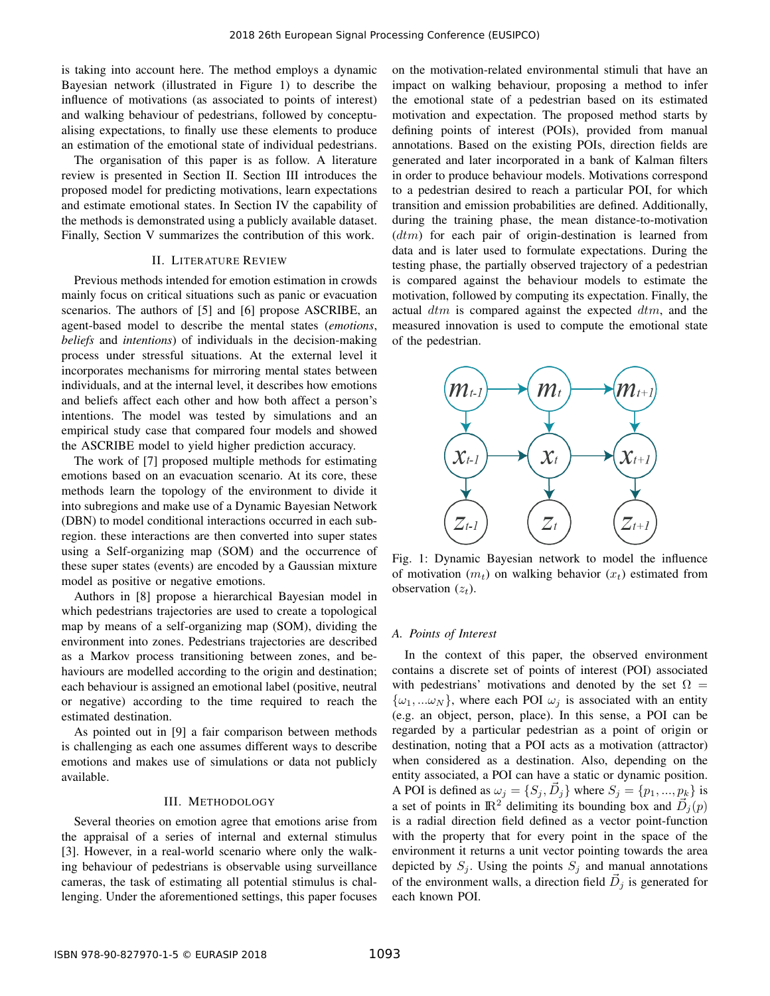is taking into account here. The method employs a dynamic Bayesian network (illustrated in Figure 1) to describe the influence of motivations (as associated to points of interest) and walking behaviour of pedestrians, followed by conceptualising expectations, to finally use these elements to produce an estimation of the emotional state of individual pedestrians.

The organisation of this paper is as follow. A literature review is presented in Section II. Section III introduces the proposed model for predicting motivations, learn expectations and estimate emotional states. In Section IV the capability of the methods is demonstrated using a publicly available dataset. Finally, Section V summarizes the contribution of this work.

## II. LITERATURE REVIEW

Previous methods intended for emotion estimation in crowds mainly focus on critical situations such as panic or evacuation scenarios. The authors of [5] and [6] propose ASCRIBE, an agent-based model to describe the mental states (*emotions*, *beliefs* and *intentions*) of individuals in the decision-making process under stressful situations. At the external level it incorporates mechanisms for mirroring mental states between individuals, and at the internal level, it describes how emotions and beliefs affect each other and how both affect a person's intentions. The model was tested by simulations and an empirical study case that compared four models and showed the ASCRIBE model to yield higher prediction accuracy.

The work of [7] proposed multiple methods for estimating emotions based on an evacuation scenario. At its core, these methods learn the topology of the environment to divide it into subregions and make use of a Dynamic Bayesian Network (DBN) to model conditional interactions occurred in each subregion. these interactions are then converted into super states using a Self-organizing map (SOM) and the occurrence of these super states (events) are encoded by a Gaussian mixture model as positive or negative emotions.

Authors in [8] propose a hierarchical Bayesian model in which pedestrians trajectories are used to create a topological map by means of a self-organizing map (SOM), dividing the environment into zones. Pedestrians trajectories are described as a Markov process transitioning between zones, and behaviours are modelled according to the origin and destination; each behaviour is assigned an emotional label (positive, neutral or negative) according to the time required to reach the estimated destination.

As pointed out in [9] a fair comparison between methods is challenging as each one assumes different ways to describe emotions and makes use of simulations or data not publicly available.

## III. METHODOLOGY

Several theories on emotion agree that emotions arise from the appraisal of a series of internal and external stimulus [3]. However, in a real-world scenario where only the walking behaviour of pedestrians is observable using surveillance cameras, the task of estimating all potential stimulus is challenging. Under the aforementioned settings, this paper focuses on the motivation-related environmental stimuli that have an impact on walking behaviour, proposing a method to infer the emotional state of a pedestrian based on its estimated motivation and expectation. The proposed method starts by defining points of interest (POIs), provided from manual annotations. Based on the existing POIs, direction fields are generated and later incorporated in a bank of Kalman filters in order to produce behaviour models. Motivations correspond to a pedestrian desired to reach a particular POI, for which transition and emission probabilities are defined. Additionally, during the training phase, the mean distance-to-motivation  $(dtm)$  for each pair of origin-destination is learned from data and is later used to formulate expectations. During the testing phase, the partially observed trajectory of a pedestrian is compared against the behaviour models to estimate the motivation, followed by computing its expectation. Finally, the actual  $dtm$  is compared against the expected  $dm$ , and the measured innovation is used to compute the emotional state of the pedestrian.



Fig. 1: Dynamic Bayesian network to model the influence of motivation  $(m_t)$  on walking behavior  $(x_t)$  estimated from observation  $(z_t)$ .

#### *A. Points of Interest*

In the context of this paper, the observed environment contains a discrete set of points of interest (POI) associated with pedestrians' motivations and denoted by the set  $\Omega =$  $\{\omega_1, \ldots \omega_N\}$ , where each POI  $\omega_i$  is associated with an entity (e.g. an object, person, place). In this sense, a POI can be regarded by a particular pedestrian as a point of origin or destination, noting that a POI acts as a motivation (attractor) when considered as a destination. Also, depending on the entity associated, a POI can have a static or dynamic position. A POI is defined as  $\omega_j = \{S_j, \vec{D}_j\}$  where  $S_j = \{p_1, ..., p_k\}$  is a set of points in  $\mathbb{R}^2$  delimiting its bounding box and  $\vec{D}_j(p)$ is a radial direction field defined as a vector point-function with the property that for every point in the space of the environment it returns a unit vector pointing towards the area depicted by  $S_j$ . Using the points  $S_j$  and manual annotations of the environment walls, a direction field  $\vec{D}_j$  is generated for each known POI.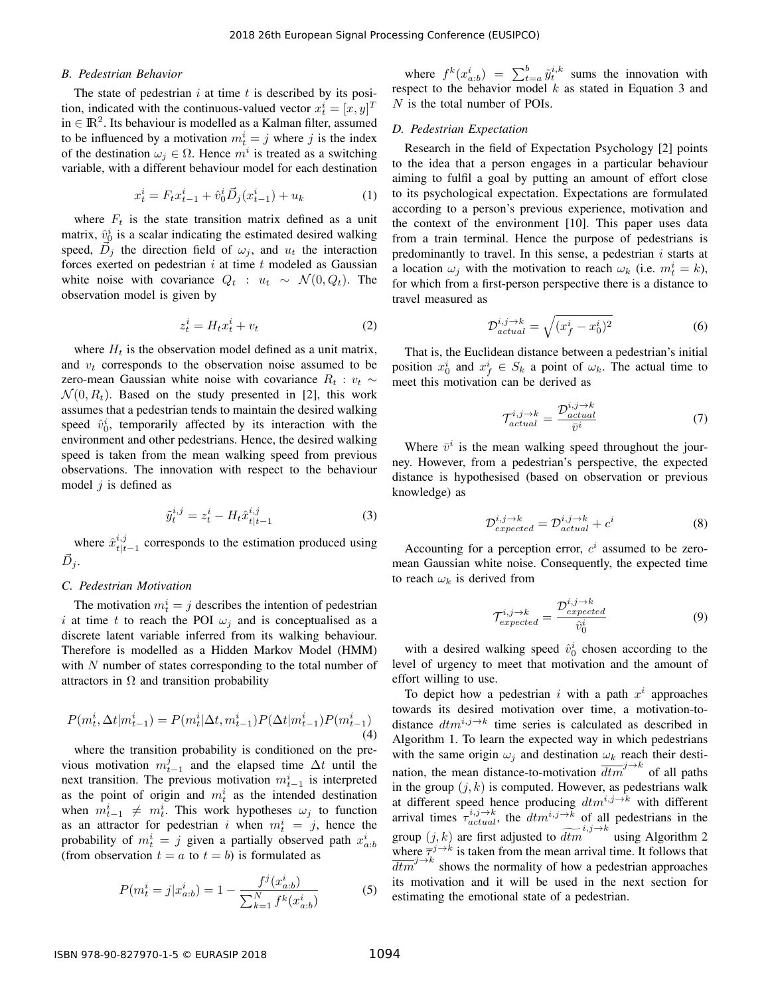## *B. Pedestrian Behavior*

The state of pedestrian  $i$  at time  $t$  is described by its position, indicated with the continuous-valued vector  $x_t^i = [x, y]^T$ in  $\in \mathbb{R}^2$ . Its behaviour is modelled as a Kalman filter, assumed to be influenced by a motivation  $m_t^i = j$  where j is the index of the destination  $\omega_j \in \Omega$ . Hence  $m^i$  is treated as a switching variable, with a different behaviour model for each destination

$$
x_t^i = F_t x_{t-1}^i + \hat{v}_0^i \vec{D}_j(x_{t-1}^i) + u_k \tag{1}
$$

where  $F_t$  is the state transition matrix defined as a unit matrix,  $\hat{v}_{0}^{i}$  is a scalar indicating the estimated desired walking speed,  $\overrightarrow{D}_j$  the direction field of  $\omega_j$ , and  $u_t$  the interaction forces exerted on pedestrian  $i$  at time  $t$  modeled as Gaussian white noise with covariance  $Q_t$  :  $u_t \sim \mathcal{N}(0, Q_t)$ . The observation model is given by

$$
z_t^i = H_t x_t^i + v_t \tag{2}
$$

where  $H_t$  is the observation model defined as a unit matrix, and  $v_t$  corresponds to the observation noise assumed to be zero-mean Gaussian white noise with covariance  $R_t$ :  $v_t \sim$  $\mathcal{N}(0, R_t)$ . Based on the study presented in [2], this work assumes that a pedestrian tends to maintain the desired walking speed  $\hat{v}_0^i$ , temporarily affected by its interaction with the environment and other pedestrians. Hence, the desired walking speed is taken from the mean walking speed from previous observations. The innovation with respect to the behaviour model  $j$  is defined as

$$
\tilde{y}_t^{i,j} = z_t^i - H_t \hat{x}_{t|t-1}^{i,j} \tag{3}
$$

where  $\hat{x}_{t|t}^{i,j}$  $t_{t|t-1}^{i,j}$  corresponds to the estimation produced using  $\vec{D}_j$ .

#### *C. Pedestrian Motivation*

The motivation  $m_t^i = j$  describes the intention of pedestrian i at time t to reach the POI  $\omega_j$  and is conceptualised as a discrete latent variable inferred from its walking behaviour. Therefore is modelled as a Hidden Markov Model (HMM) with  $N$  number of states corresponding to the total number of attractors in  $\Omega$  and transition probability

$$
P(m_t^i, \Delta t | m_{t-1}^i) = P(m_t^i | \Delta t, m_{t-1}^i) P(\Delta t | m_{t-1}^i) P(m_{t-1}^i)
$$
\n(4)

where the transition probability is conditioned on the previous motivation  $m_{t-1}^j$  and the elapsed time  $\Delta t$  until the next transition. The previous motivation  $m_{t-1}^i$  is interpreted as the point of origin and  $m_t^i$  as the intended destination when  $m_{t-1}^i \neq m_t^i$ . This work hypotheses  $\omega_j$  to function as an attractor for pedestrian i when  $m_t^i = j$ , hence the probability of  $m_t^i = j$  given a partially observed path  $x_{a:b}^i$ (from observation  $t = a$  to  $t = b$ ) is formulated as

$$
P(m_t^i = j | x_{a:b}^i) = 1 - \frac{f^j(x_{a:b}^i)}{\sum_{k=1}^N f^k(x_{a:b}^i)}
$$
(5)

where  $f^k(x_{a:b}^i) = \sum_{t=a}^b \tilde{y}_t^{i,k}$  sums the innovation with respect to the behavior model  $k$  as stated in Equation 3 and  $N$  is the total number of POIs.

#### *D. Pedestrian Expectation*

Research in the field of Expectation Psychology [2] points to the idea that a person engages in a particular behaviour aiming to fulfil a goal by putting an amount of effort close to its psychological expectation. Expectations are formulated according to a person's previous experience, motivation and the context of the environment [10]. This paper uses data from a train terminal. Hence the purpose of pedestrians is predominantly to travel. In this sense, a pedestrian  $i$  starts at a location  $\omega_j$  with the motivation to reach  $\omega_k$  (i.e.  $m_t^i = k$ ), for which from a first-person perspective there is a distance to travel measured as

$$
\mathcal{D}_{actual}^{i,j \to k} = \sqrt{(x_f^i - x_0^i)^2} \tag{6}
$$

That is, the Euclidean distance between a pedestrian's initial position  $x_0^i$  and  $x_f^i \in S_k$  a point of  $\omega_k$ . The actual time to meet this motivation can be derived as

$$
\mathcal{T}_{actual}^{i,j \to k} = \frac{\mathcal{D}_{actual}^{i,j \to k}}{\bar{v}^i} \tag{7}
$$

Where  $\bar{v}^i$  is the mean walking speed throughout the journey. However, from a pedestrian's perspective, the expected distance is hypothesised (based on observation or previous knowledge) as

$$
\mathcal{D}_{expected}^{i,j \to k} = \mathcal{D}_{actual}^{i,j \to k} + c^i
$$
 (8)

Accounting for a perception error,  $c^i$  assumed to be zeromean Gaussian white noise. Consequently, the expected time to reach  $\omega_k$  is derived from

$$
\mathcal{T}_{expected}^{i,j \to k} = \frac{\mathcal{D}_{expected}^{i,j \to k}}{\hat{v}_0^i} \tag{9}
$$

with a desired walking speed  $\hat{v}_0^i$  chosen according to the level of urgency to meet that motivation and the amount of effort willing to use.

To depict how a pedestrian i with a path  $x^i$  approaches towards its desired motivation over time, a motivation-todistance  $dm^{i,j\rightarrow k}$  time series is calculated as described in Algorithm 1. To learn the expected way in which pedestrians with the same origin  $\omega_i$  and destination  $\omega_k$  reach their destination, the mean distance-to-motivation  $\overline{dtm}^{j\rightarrow k}$  of all paths in the group  $(j, k)$  is computed. However, as pedestrians walk at different speed hence producing  $dtm^{i,j\rightarrow k}$  with different arrival times  $\tau_{actual}^{i,j\rightarrow k}$ , the  $dt m^{i,j\rightarrow \bar{k}}$  of all pedestrians in the group  $(j, k)$  are first adjusted to  $\widetilde{dtm}^{i,j\rightarrow k}$  using Algorithm 2 where  $\overline{\tau}^{j \to k}$  is taken from the mean arrival time. It follows that  $\frac{1}{\text{atm}}$   $j \rightarrow k$  shows the normality of how a pedestrian approaches its motivation and it will be used in the next section for estimating the emotional state of a pedestrian.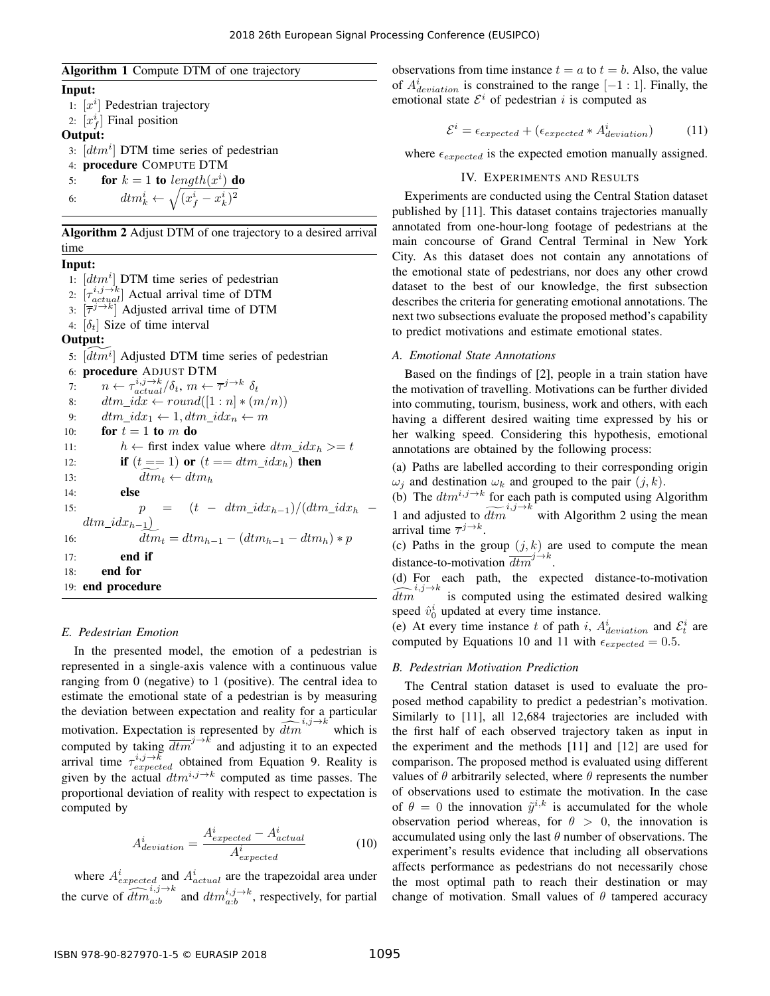Algorithm 1 Compute DTM of one trajectory

Input:

1:  $[x^i]$  Pedestrian trajectory 2:  $[x_f^i]$  Final position Output: 3:  $[dt m^i]$  DTM time series of pedestrian 4: procedure COMPUTE DTM 5: **for**  $k = 1$  to  $length(x^i)$  do 6:  $dm_k^i \leftarrow \sqrt{(x_f^i - x_k^i)^2}$ 

Algorithm 2 Adjust DTM of one trajectory to a desired arrival time

## Input:

1:  $[dt m^i]$  DTM time series of pedestrian 2:  $\left[\tau_{actual}^{i,j\rightarrow k}\right]$  Actual arrival time of DTM 3:  $[\overline{\tau}^{j\rightarrow k}]$  Adjusted arrival time of DTM 4:  $\left[\delta_t\right]$  Size of time interval Output: 5:  $\widetilde{[dtmi]}$  Adjusted DTM time series of pedestrian 6: procedure ADJUST DTM 7:  $n \leftarrow \tau_{actual}^{i,j \rightarrow k}/\delta_t, m \leftarrow \overline{\tau}^{j \rightarrow k} \delta_t$ 8:  $dm\_idx \leftarrow round([1:n] * (m/n))$ 9:  $dm\_idx_1 \leftarrow 1, dtm\_idx_n \leftarrow m$ 10: for  $t = 1$  to m do 11:  $h \leftarrow$  first index value where  $dt m\_idx_h \geq t$ 12: **if**  $(t == 1)$  or  $(t == dtm\_idx_h)$  then 13:  $dtm_t \leftarrow dtm_h$ <br>14. **else** else 15:  $p = (t - dtm\_idx_{h-1})/(dtm\_idx_h$  $\dim_{-}idx_{h-1}$ ) 16:  $\widetilde{dtm}_t = dtm_{h-1} - (dtm_{h-1} - dtm_h) * p$ 17: end if 18: end for 19: end procedure

## *E. Pedestrian Emotion*

In the presented model, the emotion of a pedestrian is represented in a single-axis valence with a continuous value ranging from 0 (negative) to 1 (positive). The central idea to estimate the emotional state of a pedestrian is by measuring the deviation between expectation and reality for a particular motivation. Expectation is represented by  $\widehat{dtm}^{i,j\to k}$  which is computed by taking  $\overline{dtm}^{j\to k}$  and adjusting it to an expected arrival time  $\tau_{expected}^{i,j\to\bar{k}}$  obtained from Equation 9. Reality is given by the actual  $dt m^{i,j\rightarrow k}$  computed as time passes. The proportional deviation of reality with respect to expectation is computed by

$$
A_{deviation}^i = \frac{A_{expected}^i - A_{actual}^i}{A_{expected}^i}
$$
 (10)

where  $A_{expected}^{i}$  and  $A_{actual}^{i}$  are the trapezoidal area under the curve of  $\widehat{dtm}_{a:b}^{i,j\rightarrow k}$  and  $dm_{a:b}^{i,j\rightarrow k}$ , respectively, for partial observations from time instance  $t = a$  to  $t = b$ . Also, the value of  $A_{deviation}^i$  is constrained to the range  $[-1:1]$ . Finally, the emotional state  $\mathcal{E}^i$  of pedestrian i is computed as

$$
\mathcal{E}^i = \epsilon_{expected} + (\epsilon_{expected} * A_{deviation}^i)
$$
 (11)

where  $\epsilon_{expected}$  is the expected emotion manually assigned.

# IV. EXPERIMENTS AND RESULTS

Experiments are conducted using the Central Station dataset published by [11]. This dataset contains trajectories manually annotated from one-hour-long footage of pedestrians at the main concourse of Grand Central Terminal in New York City. As this dataset does not contain any annotations of the emotional state of pedestrians, nor does any other crowd dataset to the best of our knowledge, the first subsection describes the criteria for generating emotional annotations. The next two subsections evaluate the proposed method's capability to predict motivations and estimate emotional states.

## *A. Emotional State Annotations*

Based on the findings of [2], people in a train station have the motivation of travelling. Motivations can be further divided into commuting, tourism, business, work and others, with each having a different desired waiting time expressed by his or her walking speed. Considering this hypothesis, emotional annotations are obtained by the following process:

(a) Paths are labelled according to their corresponding origin  $\omega_i$  and destination  $\omega_k$  and grouped to the pair  $(j, k)$ .

(b) The  $dt m^{i,j\rightarrow k}$  for each path is computed using Algorithm 1 and adjusted to  $\widetilde{dtm}^{i,j\rightarrow k}$  with Algorithm 2 using the mean arrival time  $\overline{\tau}^{j \to k}$ .

(c) Paths in the group  $(j, k)$  are used to compute the mean distance-to-motivation  $\overline{dtm}^{j\to k}$ .

(d) For each path, the expected distance-to-motivation  $\widehat{dtm}^{i,j\to k}$  is computed using the estimated desired walking speed  $\hat{v}_0^i$  updated at every time instance.

(e) At every time instance t of path i,  $A_{deviation}^i$  and  $\mathcal{E}_t^i$  are computed by Equations 10 and 11 with  $\epsilon_{expected} = 0.5$ .

#### *B. Pedestrian Motivation Prediction*

The Central station dataset is used to evaluate the proposed method capability to predict a pedestrian's motivation. Similarly to [11], all 12,684 trajectories are included with the first half of each observed trajectory taken as input in the experiment and the methods [11] and [12] are used for comparison. The proposed method is evaluated using different values of  $\theta$  arbitrarily selected, where  $\theta$  represents the number of observations used to estimate the motivation. In the case of  $\theta = 0$  the innovation  $\tilde{y}^{i,k}$  is accumulated for the whole observation period whereas, for  $\theta > 0$ , the innovation is accumulated using only the last  $\theta$  number of observations. The experiment's results evidence that including all observations affects performance as pedestrians do not necessarily chose the most optimal path to reach their destination or may change of motivation. Small values of  $\theta$  tampered accuracy